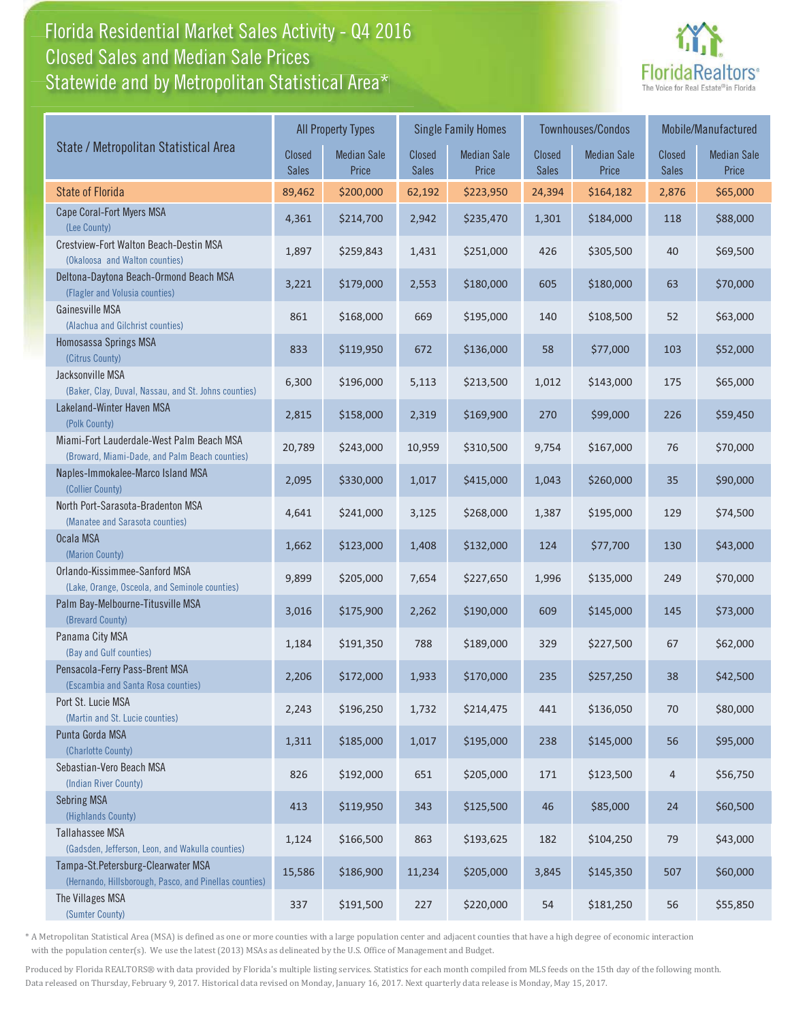## Florida Residential Market Sales Activity - Q4 2016 Florida Residential Market Sales Activity Statewide and by Metropolitan Statistical Area $^{\star}$ Closed Sales and Median Sale Prices



|                                                                                              |                 | <b>All Property Types</b>   |                        | <b>Single Family Homes</b>  |                        | <b>Townhouses/Condos</b>    | Mobile/Manufactured    |                             |
|----------------------------------------------------------------------------------------------|-----------------|-----------------------------|------------------------|-----------------------------|------------------------|-----------------------------|------------------------|-----------------------------|
| State / Metropolitan Statistical Area                                                        | Closed<br>Sales | <b>Median Sale</b><br>Price | Closed<br><b>Sales</b> | <b>Median Sale</b><br>Price | Closed<br><b>Sales</b> | <b>Median Sale</b><br>Price | Closed<br><b>Sales</b> | <b>Median Sale</b><br>Price |
| <b>State of Florida</b>                                                                      | 89,462          | \$200,000                   | 62,192                 | \$223,950                   | 24,394                 | \$164,182                   | 2,876                  | \$65,000                    |
| Cape Coral-Fort Myers MSA<br>(Lee County)                                                    | 4,361           | \$214,700                   | 2,942                  | \$235,470                   | 1,301                  | \$184,000                   | 118                    | \$88,000                    |
| Crestview-Fort Walton Beach-Destin MSA<br>(Okaloosa and Walton counties)                     | 1,897           | \$259,843                   | 1,431                  | \$251,000                   | 426                    | \$305,500                   | 40                     | \$69,500                    |
| Deltona-Daytona Beach-Ormond Beach MSA<br>(Flagler and Volusia counties)                     | 3,221           | \$179,000                   | 2,553                  | \$180,000                   | 605                    | \$180,000                   | 63                     | \$70,000                    |
| Gainesville MSA<br>(Alachua and Gilchrist counties)                                          | 861             | \$168,000                   | 669                    | \$195,000                   | 140                    | \$108,500                   | 52                     | \$63,000                    |
| Homosassa Springs MSA<br>(Citrus County)                                                     | 833             | \$119,950                   | 672                    | \$136,000                   | 58                     | \$77,000                    | 103                    | \$52,000                    |
| Jacksonville MSA<br>(Baker, Clay, Duval, Nassau, and St. Johns counties)                     | 6,300           | \$196,000                   | 5,113                  | \$213,500                   | 1,012                  | \$143,000                   | 175                    | \$65,000                    |
| Lakeland-Winter Haven MSA<br>(Polk County)                                                   | 2,815           | \$158,000                   | 2,319                  | \$169,900                   | 270                    | \$99,000                    | 226                    | \$59,450                    |
| Miami-Fort Lauderdale-West Palm Beach MSA<br>(Broward, Miami-Dade, and Palm Beach counties)  | 20,789          | \$243,000                   | 10,959                 | \$310,500                   | 9,754                  | \$167,000                   | 76                     | \$70,000                    |
| Naples-Immokalee-Marco Island MSA<br>(Collier County)                                        | 2,095           | \$330,000                   | 1,017                  | \$415,000                   | 1,043                  | \$260,000                   | 35                     | \$90,000                    |
| North Port-Sarasota-Bradenton MSA<br>(Manatee and Sarasota counties)                         | 4,641           | \$241,000                   | 3,125                  | \$268,000                   | 1,387                  | \$195,000                   | 129                    | \$74,500                    |
| Ocala MSA<br>(Marion County)                                                                 | 1,662           | \$123,000                   | 1,408                  | \$132,000                   | 124                    | \$77,700                    | 130                    | \$43,000                    |
| Orlando-Kissimmee-Sanford MSA<br>(Lake, Orange, Osceola, and Seminole counties)              | 9,899           | \$205,000                   | 7,654                  | \$227,650                   | 1,996                  | \$135,000                   | 249                    | \$70,000                    |
| Palm Bay-Melbourne-Titusville MSA<br>(Brevard County)                                        | 3,016           | \$175,900                   | 2,262                  | \$190,000                   | 609                    | \$145,000                   | 145                    | \$73,000                    |
| Panama City MSA<br>(Bay and Gulf counties)                                                   | 1,184           | \$191,350                   | 788                    | \$189,000                   | 329                    | \$227,500                   | 67                     | \$62,000                    |
| Pensacola-Ferry Pass-Brent MSA<br>(Escambia and Santa Rosa counties)                         | 2,206           | \$172,000                   | 1,933                  | \$170,000                   | 235                    | \$257,250                   | 38                     | \$42,500                    |
| Port St. Lucie MSA<br>(Martin and St. Lucie counties)                                        | 2,243           | \$196,250                   | 1,732                  | \$214,475                   | 441                    | \$136,050                   | 70                     | \$80,000                    |
| Punta Gorda MSA<br>(Charlotte County)                                                        | 1,311           | \$185,000                   | 1,017                  | \$195,000                   | 238                    | \$145,000                   | 56                     | \$95,000                    |
| Sebastian-Vero Beach MSA<br>(Indian River County)                                            | 826             | \$192,000                   | 651                    | \$205,000                   | $171\,$                | \$123,500                   | 4                      | \$56,750                    |
| <b>Sebring MSA</b><br>(Highlands County)                                                     | 413             | \$119,950                   | 343                    | \$125,500                   | 46                     | \$85,000                    | 24                     | \$60,500                    |
| Tallahassee MSA<br>(Gadsden, Jefferson, Leon, and Wakulla counties)                          | 1,124           | \$166,500                   | 863                    | \$193,625                   | 182                    | \$104,250                   | 79                     | \$43,000                    |
| Tampa-St.Petersburg-Clearwater MSA<br>(Hernando, Hillsborough, Pasco, and Pinellas counties) | 15,586          | \$186,900                   | 11,234                 | \$205,000                   | 3,845                  | \$145,350                   | 507                    | \$60,000                    |
| The Villages MSA<br>(Sumter County)                                                          | 337             | \$191,500                   | 227                    | \$220,000                   | 54                     | \$181,250                   | 56                     | \$55,850                    |

\* A Metropolitan Statistical Area (MSA) is defined as one or more counties with a large population center and adjacent counties that have a high degree of economic interaction with the population center(s). We use the latest (2013) MSAs as delineated by the U.S. Office of Management and Budget.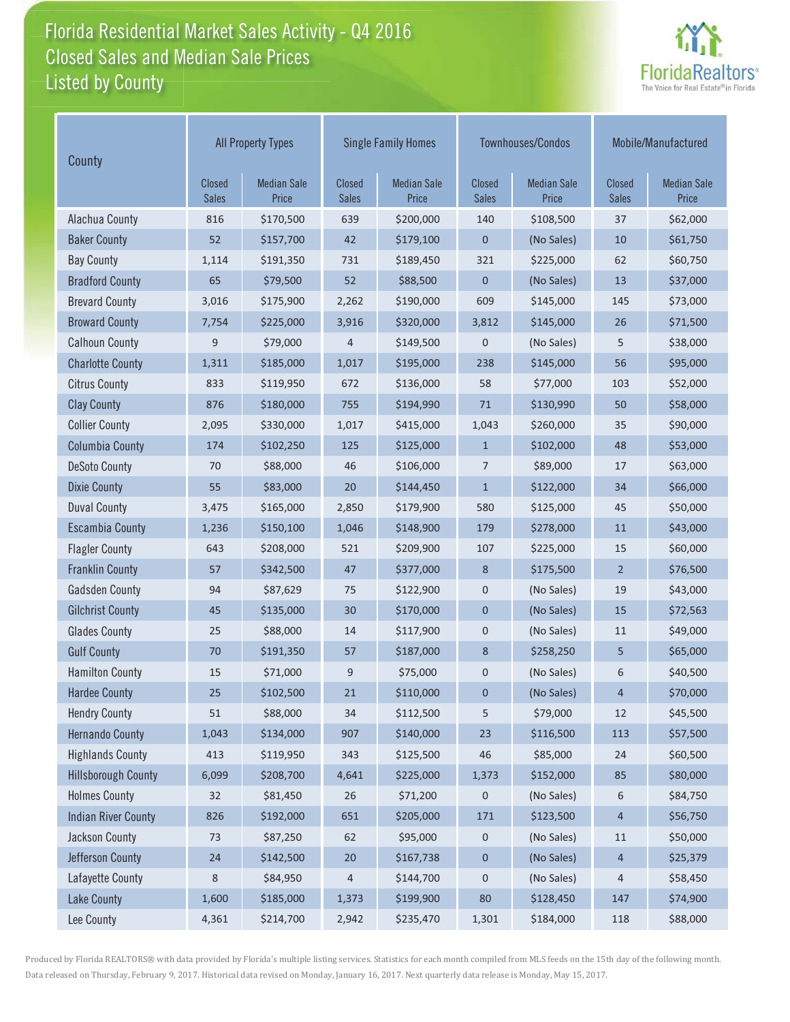## Florida Residential Market Sales Activity - Q4 2016 Florida Residential Market Sales Activity Listed by County Closed Sales and Median Sale Prices



| County                     | <b>All Property Types</b>     |                             |                               | <b>Single Family Homes</b>  |                        | Townhouses/Condos           | Mobile/Manufactured           |                             |
|----------------------------|-------------------------------|-----------------------------|-------------------------------|-----------------------------|------------------------|-----------------------------|-------------------------------|-----------------------------|
|                            | <b>Closed</b><br><b>Sales</b> | <b>Median Sale</b><br>Price | <b>Closed</b><br><b>Sales</b> | <b>Median Sale</b><br>Price | Closed<br><b>Sales</b> | <b>Median Sale</b><br>Price | <b>Closed</b><br><b>Sales</b> | <b>Median Sale</b><br>Price |
| Alachua County             | 816                           | \$170,500                   | 639                           | \$200,000                   | 140                    | \$108,500                   | 37                            | \$62,000                    |
| <b>Baker County</b>        | 52                            | \$157,700                   | 42                            | \$179,100                   | $\mathbf 0$            | (No Sales)                  | 10                            | \$61,750                    |
| <b>Bay County</b>          | 1,114                         | \$191,350                   | 731                           | \$189,450                   | 321                    | \$225,000                   | 62                            | \$60,750                    |
| <b>Bradford County</b>     | 65                            | \$79,500                    | 52                            | \$88,500                    | $\mathbf 0$            | (No Sales)                  | 13                            | \$37,000                    |
| <b>Brevard County</b>      | 3,016                         | \$175,900                   | 2,262                         | \$190,000                   | 609                    | \$145,000                   | 145                           | \$73,000                    |
| <b>Broward County</b>      | 7,754                         | \$225,000                   | 3,916                         | \$320,000                   | 3,812                  | \$145,000                   | 26                            | \$71,500                    |
| <b>Calhoun County</b>      | 9                             | \$79,000                    | 4                             | \$149,500                   | 0                      | (No Sales)                  | 5                             | \$38,000                    |
| <b>Charlotte County</b>    | 1,311                         | \$185,000                   | 1,017                         | \$195,000                   | 238                    | \$145,000                   | 56                            | \$95,000                    |
| <b>Citrus County</b>       | 833                           | \$119,950                   | 672                           | \$136,000                   | 58                     | \$77,000                    | 103                           | \$52,000                    |
| <b>Clay County</b>         | 876                           | \$180,000                   | 755                           | \$194,990                   | $71\,$                 | \$130,990                   | 50                            | \$58,000                    |
| <b>Collier County</b>      | 2,095                         | \$330,000                   | 1,017                         | \$415,000                   | 1,043                  | \$260,000                   | 35                            | \$90,000                    |
| <b>Columbia County</b>     | 174                           | \$102,250                   | 125                           | \$125,000                   | $\mathbf{1}$           | \$102,000                   | 48                            | \$53,000                    |
| <b>DeSoto County</b>       | 70                            | \$88,000                    | 46                            | \$106,000                   | 7                      | \$89,000                    | 17                            | \$63,000                    |
| <b>Dixie County</b>        | 55                            | \$83,000                    | 20                            | \$144,450                   | $\mathbf{1}$           | \$122,000                   | 34                            | \$66,000                    |
| <b>Duval County</b>        | 3,475                         | \$165,000                   | 2,850                         | \$179,900                   | 580                    | \$125,000                   | 45                            | \$50,000                    |
| <b>Escambia County</b>     | 1,236                         | \$150,100                   | 1,046                         | \$148,900                   | 179                    | \$278,000                   | 11                            | \$43,000                    |
| <b>Flagler County</b>      | 643                           | \$208,000                   | 521                           | \$209,900                   | 107                    | \$225,000                   | 15                            | \$60,000                    |
| <b>Franklin County</b>     | 57                            | \$342,500                   | 47                            | \$377,000                   | 8                      | \$175,500                   | $\overline{2}$                | \$76,500                    |
| <b>Gadsden County</b>      | 94                            | \$87,629                    | 75                            | \$122,900                   | $\mathbf 0$            | (No Sales)                  | 19                            | \$43,000                    |
| <b>Gilchrist County</b>    | 45                            | \$135,000                   | 30                            | \$170,000                   | $\mathbf{0}$           | (No Sales)                  | 15                            | \$72,563                    |
| <b>Glades County</b>       | 25                            | \$88,000                    | 14                            | \$117,900                   | $\mathbf 0$            | (No Sales)                  | 11                            | \$49,000                    |
| <b>Gulf County</b>         | 70                            | \$191,350                   | 57                            | \$187,000                   | $\bf 8$                | \$258,250                   | 5                             | \$65,000                    |
| <b>Hamilton County</b>     | 15                            | \$71,000                    | 9                             | \$75,000                    | $\mathbf 0$            | (No Sales)                  | 6                             | \$40,500                    |
| <b>Hardee County</b>       | 25                            | \$102,500                   | 21                            | \$110,000                   | $\mathbf 0$            | (No Sales)                  | 4                             | \$70,000                    |
| <b>Hendry County</b>       | 51                            | \$88,000                    | 34                            | \$112,500                   | 5                      | \$79,000                    | 12                            | \$45,500                    |
| <b>Hernando County</b>     | 1,043                         | \$134,000                   | 907                           | \$140,000                   | 23                     | \$116,500                   | 113                           | \$57,500                    |
| <b>Highlands County</b>    | 413                           | \$119,950                   | 343                           | \$125,500                   | 46                     | \$85,000                    | 24                            | \$60,500                    |
| <b>Hillsborough County</b> | 6,099                         | \$208,700                   | 4,641                         | \$225,000                   | 1,373                  | \$152,000                   | 85                            | \$80,000                    |
| <b>Holmes County</b>       | 32                            | \$81,450                    | 26                            | \$71,200                    | $\pmb{0}$              | (No Sales)                  | 6                             | \$84,750                    |
| <b>Indian River County</b> | 826                           | \$192,000                   | 651                           | \$205,000                   | 171                    | \$123,500                   | $\overline{4}$                | \$56,750                    |
| Jackson County             | 73                            | \$87,250                    | 62                            | \$95,000                    | 0                      | (No Sales)                  | 11                            | \$50,000                    |
| Jefferson County           | 24                            | \$142,500                   | $20\,$                        | \$167,738                   | $\pmb{0}$              | (No Sales)                  | 4                             | \$25,379                    |
| Lafayette County           | 8                             | \$84,950                    | 4                             | \$144,700                   | $\mathbf 0$            | (No Sales)                  | 4                             | \$58,450                    |
| Lake County                | 1,600                         | \$185,000                   | 1,373                         | \$199,900                   | $80\,$                 | \$128,450                   | 147                           | \$74,900                    |
| Lee County                 | 4,361                         | \$214,700                   | 2,942                         | \$235,470                   | 1,301                  | \$184,000                   | 118                           | \$88,000                    |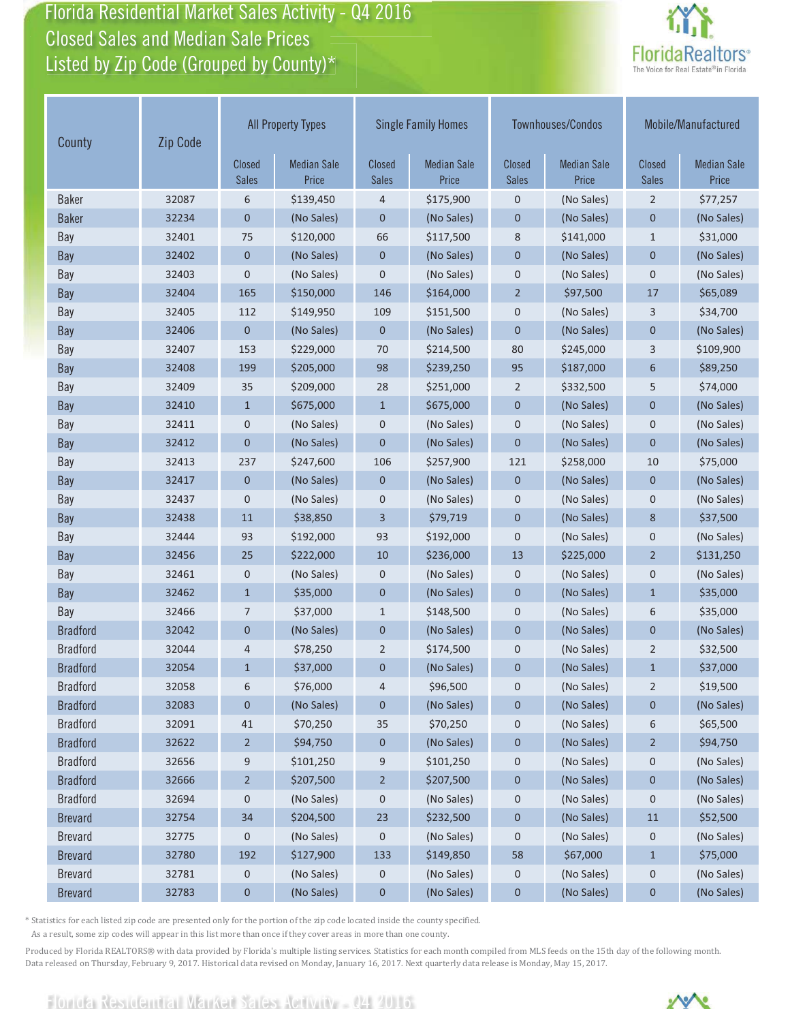Florida Residential Market Sales Activity - Q4 2016 Florida Residential Market Sales Activity Closed Sales and Median Sale Prices<br>Listed by Zip Code (Grouped by County)\*



| County          | Zip Code | <b>All Property Types</b>     |                             |                               | <b>Single Family Homes</b>  |                               | <b>Townhouses/Condos</b>    |                        | Mobile/Manufactured         |  |
|-----------------|----------|-------------------------------|-----------------------------|-------------------------------|-----------------------------|-------------------------------|-----------------------------|------------------------|-----------------------------|--|
|                 |          | <b>Closed</b><br><b>Sales</b> | <b>Median Sale</b><br>Price | <b>Closed</b><br><b>Sales</b> | <b>Median Sale</b><br>Price | <b>Closed</b><br><b>Sales</b> | <b>Median Sale</b><br>Price | Closed<br><b>Sales</b> | <b>Median Sale</b><br>Price |  |
| <b>Baker</b>    | 32087    | 6                             | \$139,450                   | 4                             | \$175,900                   | $\mathbf 0$                   | (No Sales)                  | $\overline{2}$         | \$77,257                    |  |
| <b>Baker</b>    | 32234    | $\mathbf 0$                   | (No Sales)                  | $\mathbf 0$                   | (No Sales)                  | $\mathbf 0$                   | (No Sales)                  | $\mathbf 0$            | (No Sales)                  |  |
| Bay             | 32401    | 75                            | \$120,000                   | 66                            | \$117,500                   | 8                             | \$141,000                   | $\mathbf{1}$           | \$31,000                    |  |
| Bay             | 32402    | $\mathbf 0$                   | (No Sales)                  | $\pmb{0}$                     | (No Sales)                  | $\mathbf 0$                   | (No Sales)                  | $\mathbf 0$            | (No Sales)                  |  |
| Bay             | 32403    | $\mathbf 0$                   | (No Sales)                  | $\mathbf 0$                   | (No Sales)                  | $\mathbf 0$                   | (No Sales)                  | $\mathbf 0$            | (No Sales)                  |  |
| Bay             | 32404    | 165                           | \$150,000                   | 146                           | \$164,000                   | $\overline{2}$                | \$97,500                    | 17                     | \$65,089                    |  |
| Bay             | 32405    | 112                           | \$149,950                   | 109                           | \$151,500                   | $\mathbf 0$                   | (No Sales)                  | 3                      | \$34,700                    |  |
| Bay             | 32406    | $\mathbf{0}$                  | (No Sales)                  | $\mathbf{0}$                  | (No Sales)                  | $\mathbf{0}$                  | (No Sales)                  | $\mathbf 0$            | (No Sales)                  |  |
| Bay             | 32407    | 153                           | \$229,000                   | 70                            | \$214,500                   | 80                            | \$245,000                   | 3                      | \$109,900                   |  |
| Bay             | 32408    | 199                           | \$205,000                   | 98                            | \$239,250                   | 95                            | \$187,000                   | 6                      | \$89,250                    |  |
| Bay             | 32409    | 35                            | \$209,000                   | 28                            | \$251,000                   | 2                             | \$332,500                   | 5                      | \$74,000                    |  |
| Bay             | 32410    | $\mathbf{1}$                  | \$675,000                   | $\mathbf{1}$                  | \$675,000                   | $\mathbf 0$                   | (No Sales)                  | $\mathbf{0}$           | (No Sales)                  |  |
| Bay             | 32411    | 0                             | (No Sales)                  | 0                             | (No Sales)                  | $\mathbf 0$                   | (No Sales)                  | $\mathbf 0$            | (No Sales)                  |  |
| <b>Bay</b>      | 32412    | $\mathbf 0$                   | (No Sales)                  | $\overline{0}$                | (No Sales)                  | $\mathbf{0}$                  | (No Sales)                  | $\mathbf{0}$           | (No Sales)                  |  |
| Bay             | 32413    | 237                           | \$247,600                   | 106                           | \$257,900                   | 121                           | \$258,000                   | 10                     | \$75,000                    |  |
| <b>Bay</b>      | 32417    | $\mathbf 0$                   | (No Sales)                  | 0                             | (No Sales)                  | $\mathbf 0$                   | (No Sales)                  | $\mathbf 0$            | (No Sales)                  |  |
| Bay             | 32437    | 0                             | (No Sales)                  | 0                             | (No Sales)                  | $\mathbf 0$                   | (No Sales)                  | $\pmb{0}$              | (No Sales)                  |  |
| Bay             | 32438    | 11                            | \$38,850                    | 3                             | \$79,719                    | $\mathbf 0$                   | (No Sales)                  | 8                      | \$37,500                    |  |
| Bay             | 32444    | 93                            | \$192,000                   | 93                            | \$192,000                   | $\boldsymbol{0}$              | (No Sales)                  | $\boldsymbol{0}$       | (No Sales)                  |  |
| Bay             | 32456    | 25                            | \$222,000                   | 10                            | \$236,000                   | 13                            | \$225,000                   | $\overline{2}$         | \$131,250                   |  |
| Bay             | 32461    | 0                             | (No Sales)                  | 0                             | (No Sales)                  | 0                             | (No Sales)                  | $\mathbf 0$            | (No Sales)                  |  |
| Bay             | 32462    | $\mathbf{1}$                  | \$35,000                    | $\mathbf 0$                   | (No Sales)                  | $\mathbf{0}$                  | (No Sales)                  | $\mathbf{1}$           | \$35,000                    |  |
| Bay             | 32466    | 7                             | \$37,000                    | 1                             | \$148,500                   | $\mathbf 0$                   | (No Sales)                  | 6                      | \$35,000                    |  |
| <b>Bradford</b> | 32042    | $\mathbf 0$                   | (No Sales)                  | $\mathbf 0$                   | (No Sales)                  | $\mathbf 0$                   | (No Sales)                  | $\mathbf 0$            | (No Sales)                  |  |
| <b>Bradford</b> | 32044    | 4                             | \$78,250                    | $\overline{2}$                | \$174,500                   | $\mathbf 0$                   | (No Sales)                  | $\overline{2}$         | \$32,500                    |  |
| <b>Bradford</b> | 32054    | $\mathbf{1}$                  | \$37,000                    | $\pmb{0}$                     | (No Sales)                  | $\mathbf 0$                   | (No Sales)                  | $\mathbf{1}$           | \$37,000                    |  |
| <b>Bradford</b> | 32058    | 6                             | \$76,000                    | 4                             | \$96,500                    | 0                             | (No Sales)                  | $\overline{2}$         | \$19,500                    |  |
| <b>Bradford</b> | 32083    | 0                             | (No Sales)                  | 0                             | (No Sales)                  | $\boldsymbol{0}$              | (No Sales)                  | 0                      | (No Sales)                  |  |
| <b>Bradford</b> | 32091    | 41                            | \$70,250                    | 35                            | \$70,250                    | 0                             | (No Sales)                  | 6                      | \$65,500                    |  |
| <b>Bradford</b> | 32622    | $\overline{2}$                | \$94,750                    | 0                             | (No Sales)                  | $\boldsymbol{0}$              | (No Sales)                  | $\overline{2}$         | \$94,750                    |  |
| <b>Bradford</b> | 32656    | 9                             | \$101,250                   | 9                             | \$101,250                   | 0                             | (No Sales)                  | 0                      | (No Sales)                  |  |
| <b>Bradford</b> | 32666    | $\overline{2}$                | \$207,500                   | $\overline{2}$                | \$207,500                   | $\bf{0}$                      | (No Sales)                  | $\mathbf 0$            | (No Sales)                  |  |
| <b>Bradford</b> | 32694    | 0                             | (No Sales)                  | 0                             | (No Sales)                  | 0                             | (No Sales)                  | 0                      | (No Sales)                  |  |
| <b>Brevard</b>  | 32754    | 34                            | \$204,500                   | 23                            | \$232,500                   | $\boldsymbol{0}$              | (No Sales)                  | $11\,$                 | \$52,500                    |  |
| <b>Brevard</b>  | 32775    | 0                             | (No Sales)                  | 0                             | (No Sales)                  | 0                             | (No Sales)                  | 0                      | (No Sales)                  |  |
| <b>Brevard</b>  | 32780    | 192                           | \$127,900                   | 133                           | \$149,850                   | 58                            | \$67,000                    | $\mathbf{1}$           | \$75,000                    |  |
| <b>Brevard</b>  | 32781    | 0                             | (No Sales)                  | 0                             | (No Sales)                  | 0                             | (No Sales)                  | 0                      | (No Sales)                  |  |
| <b>Brevard</b>  | 32783    | $\mathbf 0$                   | (No Sales)                  | $\pmb{0}$                     | (No Sales)                  | $\pmb{0}$                     | (No Sales)                  | $\mathbf 0$            | (No Sales)                  |  |

\* Statistics for each listed zip code are presented only for the portion of the zip code located inside the county specified.

As a result, some zip codes will appear in this list more than once if they cover areas in more than one county.

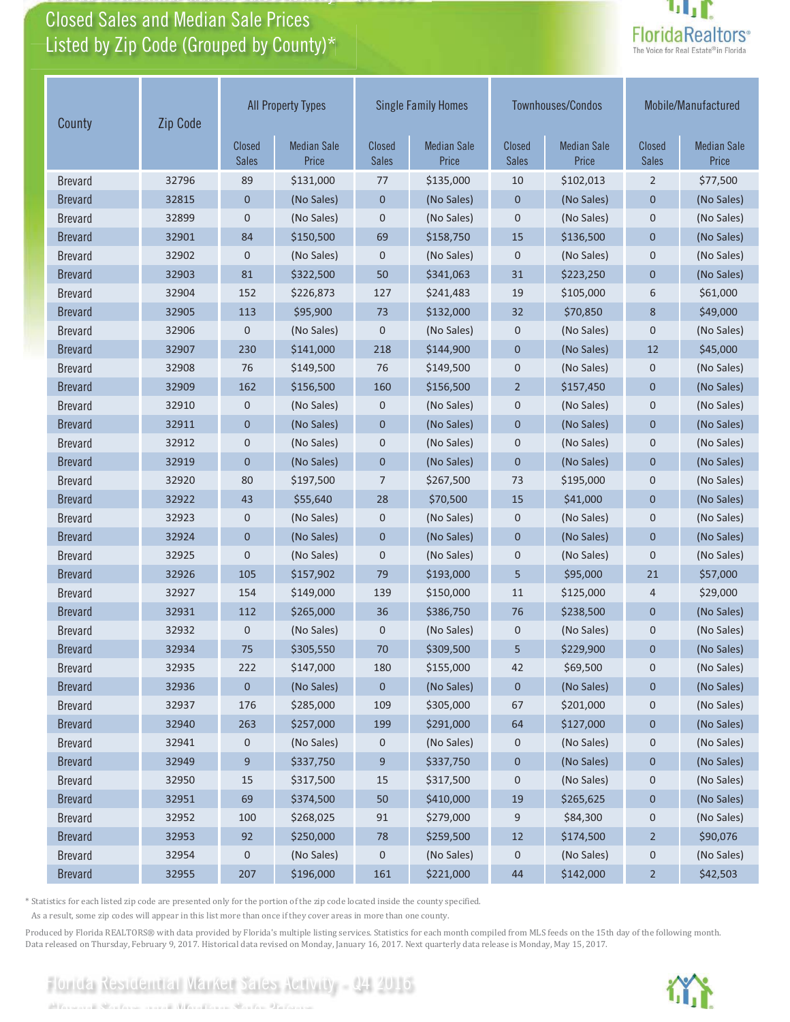# Closed Sales and Median Sale Prices<br>Listed by Zip Code (Grouped by County)\*

Florida Residential Market Sales Activity

Florida Residential Market Sales Activity Q4 2016



| County         | Zip Code | <b>All Property Types</b> |                             |                        | <b>Single Family Homes</b>  |                               | <b>Townhouses/Condos</b>    | Mobile/Manufactured    |                             |
|----------------|----------|---------------------------|-----------------------------|------------------------|-----------------------------|-------------------------------|-----------------------------|------------------------|-----------------------------|
|                |          | Closed<br><b>Sales</b>    | <b>Median Sale</b><br>Price | Closed<br><b>Sales</b> | <b>Median Sale</b><br>Price | <b>Closed</b><br><b>Sales</b> | <b>Median Sale</b><br>Price | Closed<br><b>Sales</b> | <b>Median Sale</b><br>Price |
| <b>Brevard</b> | 32796    | 89                        | \$131,000                   | 77                     | \$135,000                   | 10                            | \$102,013                   | $\overline{2}$         | \$77,500                    |
| <b>Brevard</b> | 32815    | $\mathbf 0$               | (No Sales)                  | $\mathbf 0$            | (No Sales)                  | $\mathbf 0$                   | (No Sales)                  | $\mathbf 0$            | (No Sales)                  |
| <b>Brevard</b> | 32899    | $\mathbf 0$               | (No Sales)                  | $\mathbf 0$            | (No Sales)                  | $\mathbf 0$                   | (No Sales)                  | $\mathbf 0$            | (No Sales)                  |
| <b>Brevard</b> | 32901    | 84                        | \$150,500                   | 69                     | \$158,750                   | 15                            | \$136,500                   | $\overline{0}$         | (No Sales)                  |
| <b>Brevard</b> | 32902    | 0                         | (No Sales)                  | 0                      | (No Sales)                  | $\mathbf 0$                   | (No Sales)                  | $\mathbf 0$            | (No Sales)                  |
| <b>Brevard</b> | 32903    | 81                        | \$322,500                   | 50                     | \$341,063                   | 31                            | \$223,250                   | $\mathbf 0$            | (No Sales)                  |
| <b>Brevard</b> | 32904    | 152                       | \$226,873                   | 127                    | \$241,483                   | 19                            | \$105,000                   | 6                      | \$61,000                    |
| <b>Brevard</b> | 32905    | 113                       | \$95,900                    | 73                     | \$132,000                   | 32                            | \$70,850                    | 8                      | \$49,000                    |
| <b>Brevard</b> | 32906    | $\mathbf 0$               | (No Sales)                  | 0                      | (No Sales)                  | $\mathbf 0$                   | (No Sales)                  | $\mathbf 0$            | (No Sales)                  |
| <b>Brevard</b> | 32907    | 230                       | \$141,000                   | 218                    | \$144,900                   | $\mathbf 0$                   | (No Sales)                  | 12                     | \$45,000                    |
| <b>Brevard</b> | 32908    | 76                        | \$149,500                   | 76                     | \$149,500                   | $\mathbf 0$                   | (No Sales)                  | $\mathbf 0$            | (No Sales)                  |
| <b>Brevard</b> | 32909    | 162                       | \$156,500                   | 160                    | \$156,500                   | $\overline{2}$                | \$157,450                   | $\mathbf{0}$           | (No Sales)                  |
| <b>Brevard</b> | 32910    | 0                         | (No Sales)                  | $\mathbf 0$            | (No Sales)                  | $\mathbf 0$                   | (No Sales)                  | $\mathbf 0$            | (No Sales)                  |
| <b>Brevard</b> | 32911    | $\mathbf 0$               | (No Sales)                  | $\mathbf 0$            | (No Sales)                  | $\mathbf 0$                   | (No Sales)                  | $\mathbf 0$            | (No Sales)                  |
| <b>Brevard</b> | 32912    | 0                         | (No Sales)                  | 0                      | (No Sales)                  | $\mathbf 0$                   | (No Sales)                  | $\mathbf 0$            | (No Sales)                  |
| <b>Brevard</b> | 32919    | $\overline{0}$            | (No Sales)                  | $\overline{0}$         | (No Sales)                  | $\mathbf{0}$                  | (No Sales)                  | $\overline{0}$         | (No Sales)                  |
| <b>Brevard</b> | 32920    | 80                        | \$197,500                   | 7                      | \$267,500                   | 73                            | \$195,000                   | $\overline{0}$         | (No Sales)                  |
| <b>Brevard</b> | 32922    | 43                        | \$55,640                    | 28                     | \$70,500                    | 15                            | \$41,000                    | $\mathbf 0$            | (No Sales)                  |
| <b>Brevard</b> | 32923    | 0                         | (No Sales)                  | 0                      | (No Sales)                  | 0                             | (No Sales)                  | $\mathbf 0$            | (No Sales)                  |
| <b>Brevard</b> | 32924    | $\mathbf 0$               | (No Sales)                  | $\mathbf 0$            | (No Sales)                  | $\mathbf 0$                   | (No Sales)                  | $\mathbf{0}$           | (No Sales)                  |
| <b>Brevard</b> | 32925    | 0                         | (No Sales)                  | 0                      | (No Sales)                  | $\mathbf 0$                   | (No Sales)                  | $\mathbf 0$            | (No Sales)                  |
| <b>Brevard</b> | 32926    | 105                       | \$157,902                   | 79                     | \$193,000                   | 5                             | \$95,000                    | 21                     | \$57,000                    |
| <b>Brevard</b> | 32927    | 154                       | \$149,000                   | 139                    | \$150,000                   | 11                            | \$125,000                   | 4                      | \$29,000                    |
| <b>Brevard</b> | 32931    | 112                       | \$265,000                   | 36                     | \$386,750                   | 76                            | \$238,500                   | $\mathbf{0}$           | (No Sales)                  |
| <b>Brevard</b> | 32932    | 0                         | (No Sales)                  | 0                      | (No Sales)                  | $\mathbf 0$                   | (No Sales)                  | $\mathbf 0$            | (No Sales)                  |
| <b>Brevard</b> | 32934    | 75                        | \$305,550                   | 70                     | \$309,500                   | 5                             | \$229,900                   | $\mathbf{0}$           | (No Sales)                  |
| <b>Brevard</b> | 32935    | 222                       | \$147,000                   | 180                    | \$155,000                   | 42                            | \$69,500                    | $\mathsf{O}\xspace$    | (No Sales)                  |
| <b>Brevard</b> | 32936    | $\pmb{0}$                 | (No Sales)                  | $\pmb{0}$              | (No Sales)                  | $\pmb{0}$                     | (No Sales)                  | $\pmb{0}$              | (No Sales)                  |
| <b>Brevard</b> | 32937    | 176                       | \$285,000                   | 109                    | \$305,000                   | 67                            | \$201,000                   | $\mathbf 0$            | (No Sales)                  |
| <b>Brevard</b> | 32940    | 263                       | \$257,000                   | 199                    | \$291,000                   | 64                            | \$127,000                   | $\pmb{0}$              | (No Sales)                  |
| <b>Brevard</b> | 32941    | 0                         | (No Sales)                  | $\mathbf 0$            | (No Sales)                  | 0                             | (No Sales)                  | 0                      | (No Sales)                  |
| <b>Brevard</b> | 32949    | 9                         | \$337,750                   | 9                      | \$337,750                   | $\pmb{0}$                     | (No Sales)                  | $\pmb{0}$              | (No Sales)                  |
| <b>Brevard</b> | 32950    | 15                        | \$317,500                   | 15                     | \$317,500                   | 0                             | (No Sales)                  | $\boldsymbol{0}$       | (No Sales)                  |
| <b>Brevard</b> | 32951    | 69                        | \$374,500                   | 50                     | \$410,000                   | 19                            | \$265,625                   | $\boldsymbol{0}$       | (No Sales)                  |
| <b>Brevard</b> | 32952    | 100                       | \$268,025                   | 91                     | \$279,000                   | 9                             | \$84,300                    | 0                      | (No Sales)                  |
| <b>Brevard</b> | 32953    | 92                        | \$250,000                   | 78                     | \$259,500                   | 12                            | \$174,500                   | $\overline{2}$         | \$90,076                    |
| <b>Brevard</b> | 32954    | 0                         | (No Sales)                  | 0                      | (No Sales)                  | 0                             | (No Sales)                  | 0                      | (No Sales)                  |
| <b>Brevard</b> | 32955    | 207                       | \$196,000                   | 161                    | \$221,000                   | 44                            | \$142,000                   | $\overline{2}$         | \$42,503                    |

\* Statistics for each listed zip code are presented only for the portion of the zip code located inside the county specified.

As a result, some zip codes will appear in this list more than once if they cover areas in more than one county.